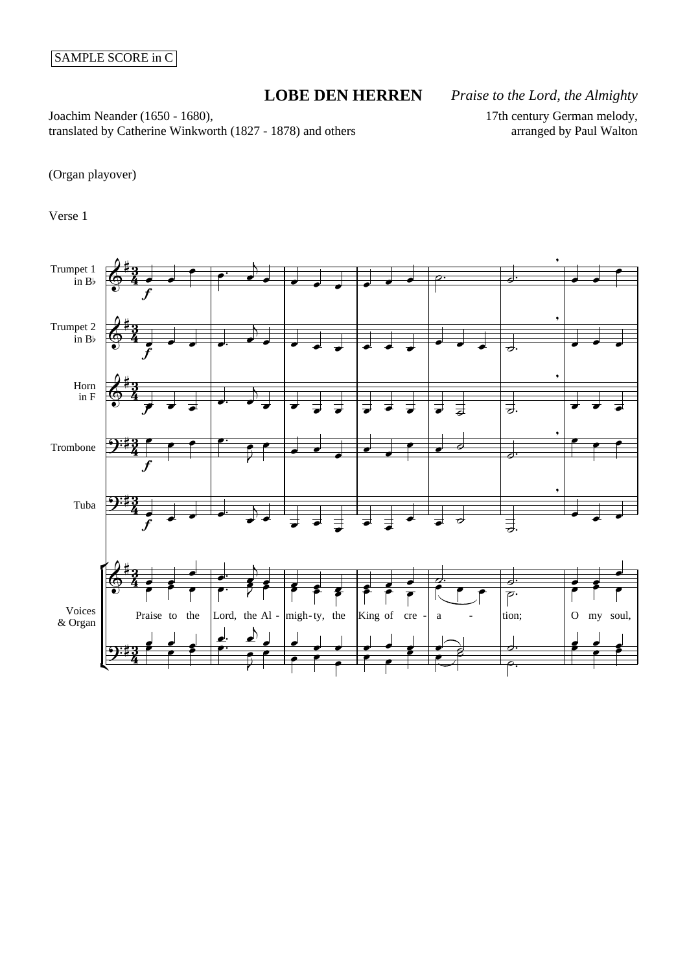## SAMPLE SCORE in C

## **LOBE DEN HERREN** *Praise to the Lord, the Almighty*

Joachim Neander (1650 - 1680), translated by Catherine Winkworth (1827 - 1878) and others 17th century German melody, arranged by Paul Walton

(Organ playover)

Verse 1

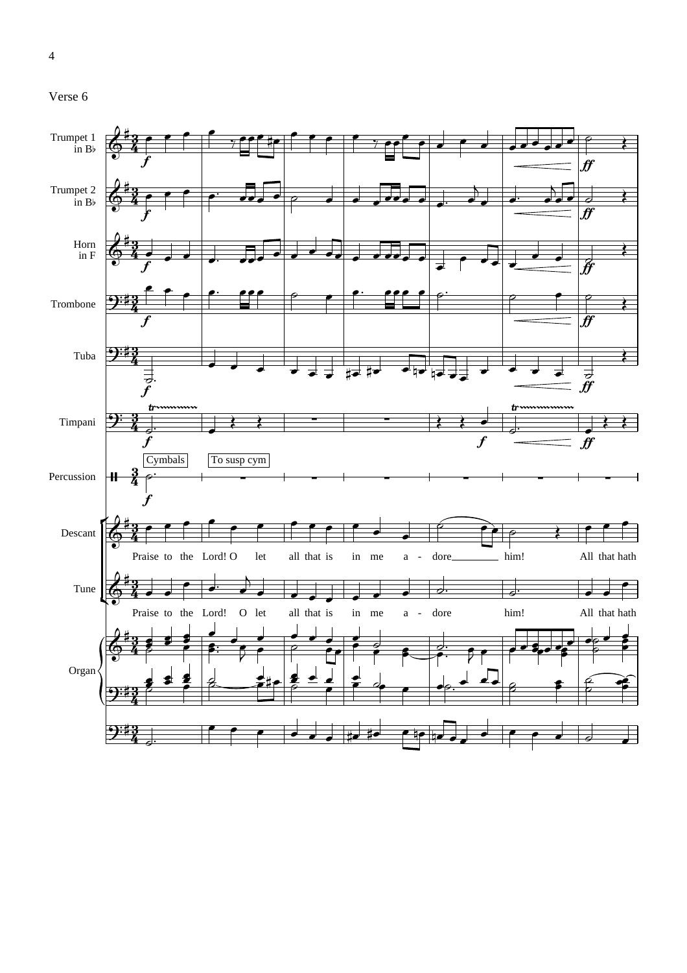